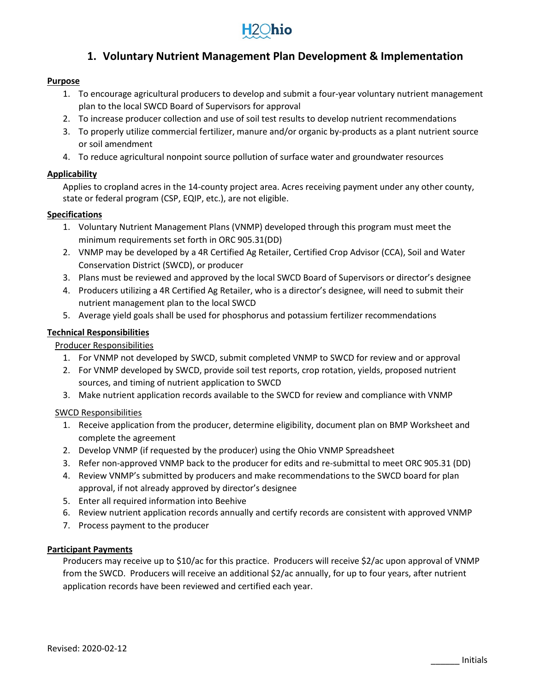

## **1. Voluntary Nutrient Management Plan Development & Implementation**

## **Purpose**

- 1. To encourage agricultural producers to develop and submit a four-year voluntary nutrient management plan to the local SWCD Board of Supervisors for approval
- 2. To increase producer collection and use of soil test results to develop nutrient recommendations
- 3. To properly utilize commercial fertilizer, manure and/or organic by-products as a plant nutrient source or soil amendment
- 4. To reduce agricultural nonpoint source pollution of surface water and groundwater resources

## **Applicability**

Applies to cropland acres in the 14-county project area. Acres receiving payment under any other county, state or federal program (CSP, EQIP, etc.), are not eligible.

### **Specifications**

- 1. Voluntary Nutrient Management Plans (VNMP) developed through this program must meet the minimum requirements set forth in ORC 905.31(DD)
- 2. VNMP may be developed by a 4R Certified Ag Retailer, Certified Crop Advisor (CCA), Soil and Water Conservation District (SWCD), or producer
- 3. Plans must be reviewed and approved by the local SWCD Board of Supervisors or director's designee
- 4. Producers utilizing a 4R Certified Ag Retailer, who is a director's designee, will need to submit their nutrient management plan to the local SWCD
- 5. Average yield goals shall be used for phosphorus and potassium fertilizer recommendations

## **Technical Responsibilities**

## Producer Responsibilities

- 1. For VNMP not developed by SWCD, submit completed VNMP to SWCD for review and or approval
- 2. For VNMP developed by SWCD, provide soil test reports, crop rotation, yields, proposed nutrient sources, and timing of nutrient application to SWCD
- 3. Make nutrient application records available to the SWCD for review and compliance with VNMP

## SWCD Responsibilities

- 1. Receive application from the producer, determine eligibility, document plan on BMP Worksheet and complete the agreement
- 2. Develop VNMP (if requested by the producer) using the Ohio VNMP Spreadsheet
- 3. Refer non-approved VNMP back to the producer for edits and re-submittal to meet ORC 905.31 (DD)
- 4. Review VNMP's submitted by producers and make recommendations to the SWCD board for plan approval, if not already approved by director's designee
- 5. Enter all required information into Beehive
- 6. Review nutrient application records annually and certify records are consistent with approved VNMP
- 7. Process payment to the producer

## **Participant Payments**

Producers may receive up to \$10/ac for this practice. Producers will receive \$2/ac upon approval of VNMP from the SWCD. Producers will receive an additional \$2/ac annually, for up to four years, after nutrient application records have been reviewed and certified each year.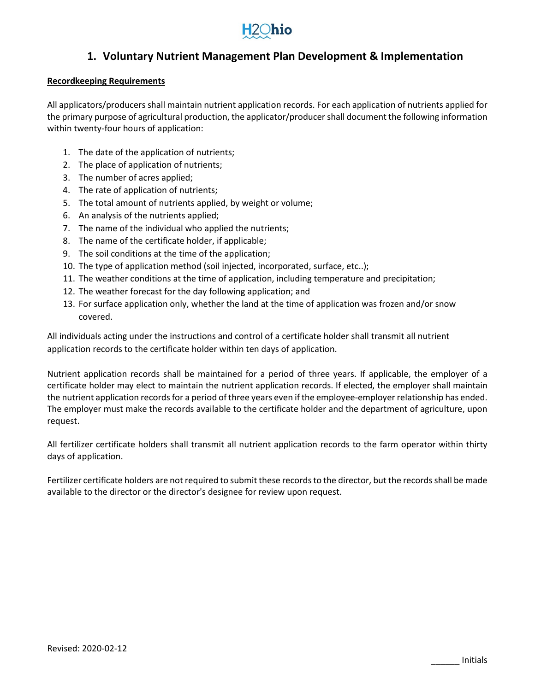

## **1. Voluntary Nutrient Management Plan Development & Implementation**

## **Recordkeeping Requirements**

All applicators/producers shall maintain nutrient application records. For each application of nutrients applied for the primary purpose of agricultural production, the applicator/producershall document the following information within twenty-four hours of application:

- 1. The date of the application of nutrients;
- 2. The place of application of nutrients;
- 3. The number of acres applied;
- 4. The rate of application of nutrients;
- 5. The total amount of nutrients applied, by weight or volume;
- 6. An analysis of the nutrients applied;
- 7. The name of the individual who applied the nutrients;
- 8. The name of the certificate holder, if applicable;
- 9. The soil conditions at the time of the application;
- 10. The type of application method (soil injected, incorporated, surface, etc..);
- 11. The weather conditions at the time of application, including temperature and precipitation;
- 12. The weather forecast for the day following application; and
- 13. For surface application only, whether the land at the time of application was frozen and/or snow covered.

All individuals acting under the instructions and control of a certificate holder shall transmit all nutrient application records to the certificate holder within ten days of application.

Nutrient application records shall be maintained for a period of three years. If applicable, the employer of a certificate holder may elect to maintain the nutrient application records. If elected, the employer shall maintain the nutrient application records for a period of three years even if the employee-employer relationship has ended. The employer must make the records available to the certificate holder and the department of agriculture, upon request.

All fertilizer certificate holders shall transmit all nutrient application records to the farm operator within thirty days of application.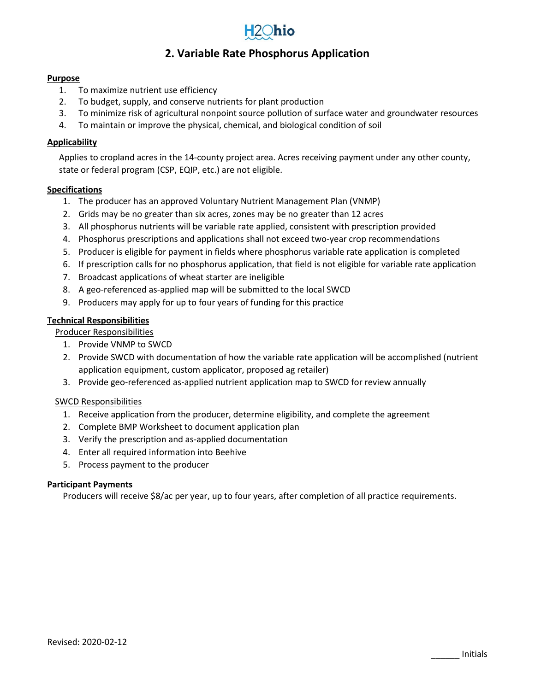## **2. Variable Rate Phosphorus Application**

## **Purpose**

- 1. To maximize nutrient use efficiency
- 2. To budget, supply, and conserve nutrients for plant production
- 3. To minimize risk of agricultural nonpoint source pollution of surface water and groundwater resources
- 4. To maintain or improve the physical, chemical, and biological condition of soil

## **Applicability**

Applies to cropland acres in the 14-county project area. Acres receiving payment under any other county, state or federal program (CSP, EQIP, etc.) are not eligible.

### **Specifications**

- 1. The producer has an approved Voluntary Nutrient Management Plan (VNMP)
- 2. Grids may be no greater than six acres, zones may be no greater than 12 acres
- 3. All phosphorus nutrients will be variable rate applied, consistent with prescription provided
- 4. Phosphorus prescriptions and applications shall not exceed two-year crop recommendations
- 5. Producer is eligible for payment in fields where phosphorus variable rate application is completed
- 6. If prescription calls for no phosphorus application, that field is not eligible for variable rate application
- 7. Broadcast applications of wheat starter are ineligible
- 8. A geo-referenced as-applied map will be submitted to the local SWCD
- 9. Producers may apply for up to four years of funding for this practice

## **Technical Responsibilities**

## Producer Responsibilities

- 1. Provide VNMP to SWCD
- 2. Provide SWCD with documentation of how the variable rate application will be accomplished (nutrient application equipment, custom applicator, proposed ag retailer)
- 3. Provide geo-referenced as-applied nutrient application map to SWCD for review annually

## SWCD Responsibilities

- 1. Receive application from the producer, determine eligibility, and complete the agreement
- 2. Complete BMP Worksheet to document application plan
- 3. Verify the prescription and as-applied documentation
- 4. Enter all required information into Beehive
- 5. Process payment to the producer

## **Participant Payments**

Producers will receive \$8/ac per year, up to four years, after completion of all practice requirements.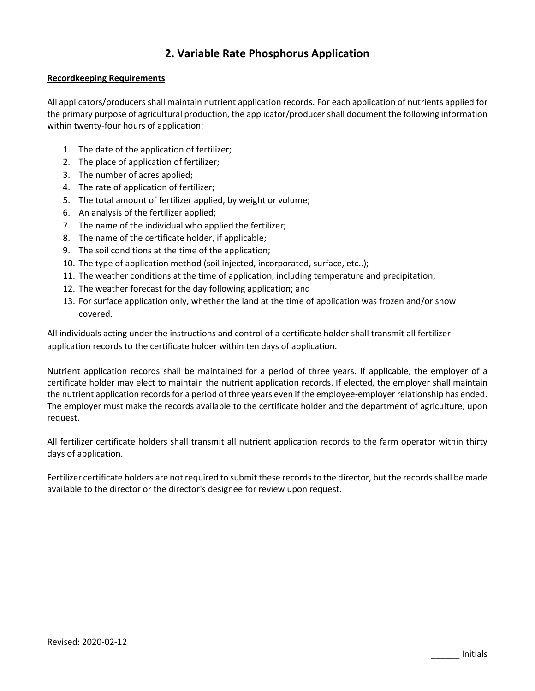## **2. Variable Rate Phosphorus Application**

## **Recordkeeping Requirements**

All applicators/producers shall maintain nutrient application records. For each application of nutrients applied for the primary purpose of agricultural production, the applicator/producershall document the following information within twenty-four hours of application:

- 1. The date of the application of fertilizer;
- 2. The place of application of fertilizer;
- 3. The number of acres applied;
- 4. The rate of application of fertilizer;
- 5. The total amount of fertilizer applied, by weight or volume;
- 6. An analysis of the fertilizer applied;
- 7. The name of the individual who applied the fertilizer;
- 8. The name of the certificate holder, if applicable;
- 9. The soil conditions at the time of the application;
- 10. The type of application method (soil injected, incorporated, surface, etc..);
- 11. The weather conditions at the time of application, including temperature and precipitation;
- 12. The weather forecast for the day following application; and
- 13. For surface application only, whether the land at the time of application was frozen and/or snow covered.

All individuals acting under the instructions and control of a certificate holder shall transmit all fertilizer application records to the certificate holder within ten days of application.

Nutrient application records shall be maintained for a period of three years. If applicable, the employer of a certificate holder may elect to maintain the nutrient application records. If elected, the employer shall maintain the nutrient application records for a period of three years even if the employee-employer relationship has ended. The employer must make the records available to the certificate holder and the department of agriculture, upon request.

All fertilizer certificate holders shall transmit all nutrient application records to the farm operator within thirty days of application.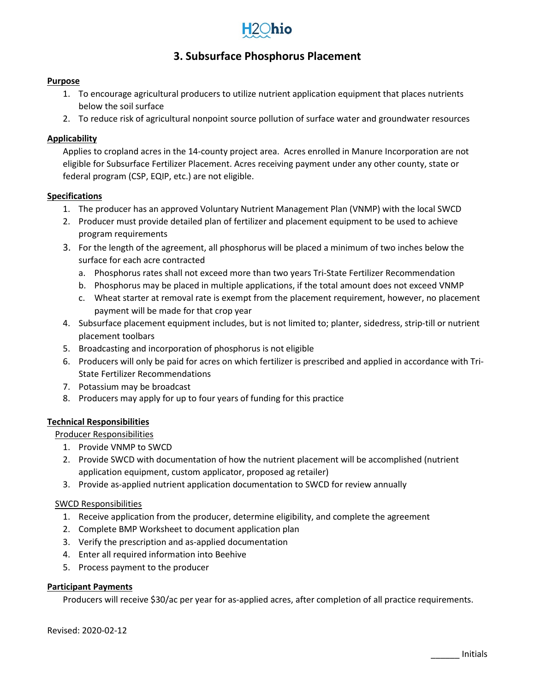

## **3. Subsurface Phosphorus Placement**

## **Purpose**

- 1. To encourage agricultural producers to utilize nutrient application equipment that places nutrients below the soil surface
- 2. To reduce risk of agricultural nonpoint source pollution of surface water and groundwater resources

## **Applicability**

Applies to cropland acres in the 14-county project area. Acres enrolled in Manure Incorporation are not eligible for Subsurface Fertilizer Placement. Acres receiving payment under any other county, state or federal program (CSP, EQIP, etc.) are not eligible.

## **Specifications**

- 1. The producer has an approved Voluntary Nutrient Management Plan (VNMP) with the local SWCD
- 2. Producer must provide detailed plan of fertilizer and placement equipment to be used to achieve program requirements
- 3. For the length of the agreement, all phosphorus will be placed a minimum of two inches below the surface for each acre contracted
	- a. Phosphorus rates shall not exceed more than two years Tri-State Fertilizer Recommendation
	- b. Phosphorus may be placed in multiple applications, if the total amount does not exceed VNMP
	- c. Wheat starter at removal rate is exempt from the placement requirement, however, no placement payment will be made for that crop year
- 4. Subsurface placement equipment includes, but is not limited to; planter, sidedress, strip-till or nutrient placement toolbars
- 5. Broadcasting and incorporation of phosphorus is not eligible
- 6. Producers will only be paid for acres on which fertilizer is prescribed and applied in accordance with Tri-State Fertilizer Recommendations
- 7. Potassium may be broadcast
- 8. Producers may apply for up to four years of funding for this practice

## **Technical Responsibilities**

Producer Responsibilities

- 1. Provide VNMP to SWCD
- 2. Provide SWCD with documentation of how the nutrient placement will be accomplished (nutrient application equipment, custom applicator, proposed ag retailer)
- 3. Provide as-applied nutrient application documentation to SWCD for review annually

## SWCD Responsibilities

- 1. Receive application from the producer, determine eligibility, and complete the agreement
- 2. Complete BMP Worksheet to document application plan
- 3. Verify the prescription and as-applied documentation
- 4. Enter all required information into Beehive
- 5. Process payment to the producer

## **Participant Payments**

Producers will receive \$30/ac per year for as-applied acres, after completion of all practice requirements.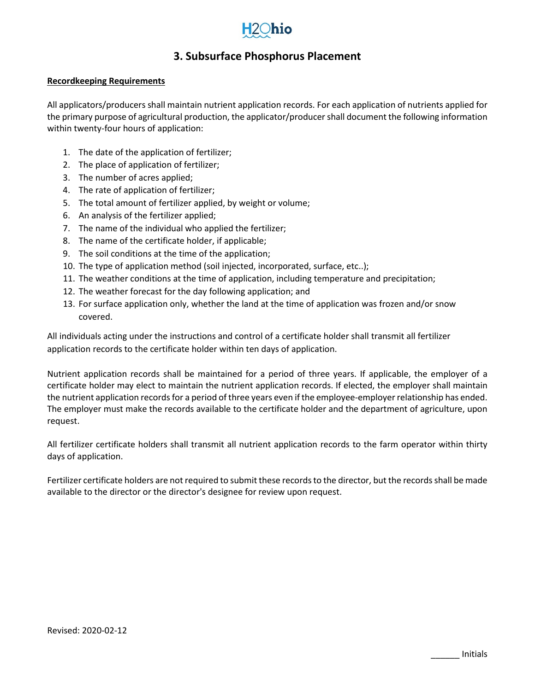

## **3. Subsurface Phosphorus Placement**

## **Recordkeeping Requirements**

All applicators/producers shall maintain nutrient application records. For each application of nutrients applied for the primary purpose of agricultural production, the applicator/producershall document the following information within twenty-four hours of application:

- 1. The date of the application of fertilizer;
- 2. The place of application of fertilizer;
- 3. The number of acres applied;
- 4. The rate of application of fertilizer;
- 5. The total amount of fertilizer applied, by weight or volume;
- 6. An analysis of the fertilizer applied;
- 7. The name of the individual who applied the fertilizer;
- 8. The name of the certificate holder, if applicable;
- 9. The soil conditions at the time of the application;
- 10. The type of application method (soil injected, incorporated, surface, etc..);
- 11. The weather conditions at the time of application, including temperature and precipitation;
- 12. The weather forecast for the day following application; and
- 13. For surface application only, whether the land at the time of application was frozen and/or snow covered.

All individuals acting under the instructions and control of a certificate holder shall transmit all fertilizer application records to the certificate holder within ten days of application.

Nutrient application records shall be maintained for a period of three years. If applicable, the employer of a certificate holder may elect to maintain the nutrient application records. If elected, the employer shall maintain the nutrient application records for a period of three years even if the employee-employer relationship has ended. The employer must make the records available to the certificate holder and the department of agriculture, upon request.

All fertilizer certificate holders shall transmit all nutrient application records to the farm operator within thirty days of application.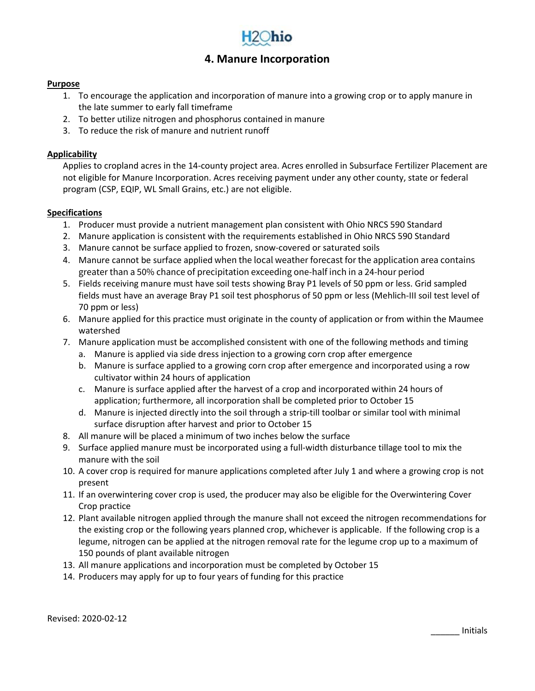

## **4. Manure Incorporation**

### **Purpose**

- 1. To encourage the application and incorporation of manure into a growing crop or to apply manure in the late summer to early fall timeframe
- 2. To better utilize nitrogen and phosphorus contained in manure
- 3. To reduce the risk of manure and nutrient runoff

## **Applicability**

Applies to cropland acres in the 14-county project area. Acres enrolled in Subsurface Fertilizer Placement are not eligible for Manure Incorporation. Acres receiving payment under any other county, state or federal program (CSP, EQIP, WL Small Grains, etc.) are not eligible.

## **Specifications**

- 1. Producer must provide a nutrient management plan consistent with Ohio NRCS 590 Standard
- 2. Manure application is consistent with the requirements established in Ohio NRCS 590 Standard
- 3. Manure cannot be surface applied to frozen, snow-covered or saturated soils
- 4. Manure cannot be surface applied when the local weather forecast for the application area contains greater than a 50% chance of precipitation exceeding one-half inch in a 24-hour period
- 5. Fields receiving manure must have soil tests showing Bray P1 levels of 50 ppm or less. Grid sampled fields must have an average Bray P1 soil test phosphorus of 50 ppm or less (Mehlich-III soil test level of 70 ppm or less)
- 6. Manure applied for this practice must originate in the county of application or from within the Maumee watershed
- 7. Manure application must be accomplished consistent with one of the following methods and timing
	- a. Manure is applied via side dress injection to a growing corn crop after emergence
	- b. Manure is surface applied to a growing corn crop after emergence and incorporated using a row cultivator within 24 hours of application
	- c. Manure is surface applied after the harvest of a crop and incorporated within 24 hours of application; furthermore, all incorporation shall be completed prior to October 15
	- d. Manure is injected directly into the soil through a strip-till toolbar or similar tool with minimal surface disruption after harvest and prior to October 15
- 8. All manure will be placed a minimum of two inches below the surface
- 9. Surface applied manure must be incorporated using a full-width disturbance tillage tool to mix the manure with the soil
- 10. A cover crop is required for manure applications completed after July 1 and where a growing crop is not present
- 11. If an overwintering cover crop is used, the producer may also be eligible for the Overwintering Cover Crop practice
- 12. Plant available nitrogen applied through the manure shall not exceed the nitrogen recommendations for the existing crop or the following years planned crop, whichever is applicable. If the following crop is a legume, nitrogen can be applied at the nitrogen removal rate for the legume crop up to a maximum of 150 pounds of plant available nitrogen
- 13. All manure applications and incorporation must be completed by October 15
- 14. Producers may apply for up to four years of funding for this practice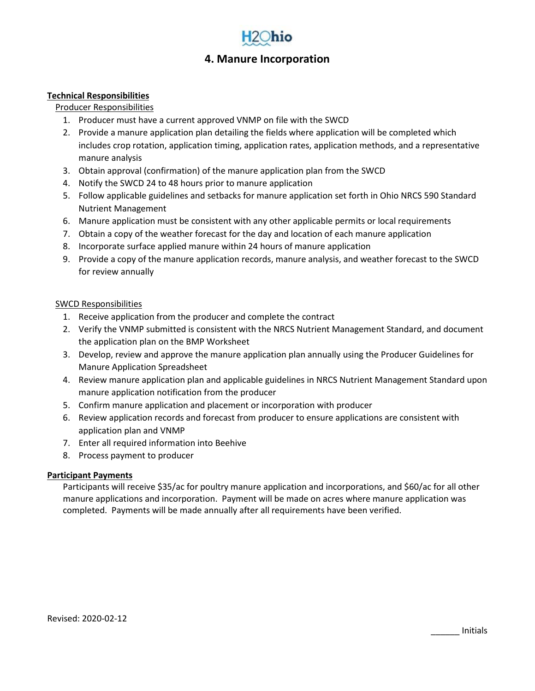# **H2Ohio**

## **4. Manure Incorporation**

## **Technical Responsibilities**

## Producer Responsibilities

- 1. Producer must have a current approved VNMP on file with the SWCD
- 2. Provide a manure application plan detailing the fields where application will be completed which includes crop rotation, application timing, application rates, application methods, and a representative manure analysis
- 3. Obtain approval (confirmation) of the manure application plan from the SWCD
- 4. Notify the SWCD 24 to 48 hours prior to manure application
- 5. Follow applicable guidelines and setbacks for manure application set forth in Ohio NRCS 590 Standard Nutrient Management
- 6. Manure application must be consistent with any other applicable permits or local requirements
- 7. Obtain a copy of the weather forecast for the day and location of each manure application
- 8. Incorporate surface applied manure within 24 hours of manure application
- 9. Provide a copy of the manure application records, manure analysis, and weather forecast to the SWCD for review annually

### SWCD Responsibilities

- 1. Receive application from the producer and complete the contract
- 2. Verify the VNMP submitted is consistent with the NRCS Nutrient Management Standard, and document the application plan on the BMP Worksheet
- 3. Develop, review and approve the manure application plan annually using the Producer Guidelines for Manure Application Spreadsheet
- 4. Review manure application plan and applicable guidelines in NRCS Nutrient Management Standard upon manure application notification from the producer
- 5. Confirm manure application and placement or incorporation with producer
- 6. Review application records and forecast from producer to ensure applications are consistent with application plan and VNMP
- 7. Enter all required information into Beehive
- 8. Process payment to producer

## **Participant Payments**

Participants will receive \$35/ac for poultry manure application and incorporations, and \$60/ac for all other manure applications and incorporation. Payment will be made on acres where manure application was completed. Payments will be made annually after all requirements have been verified.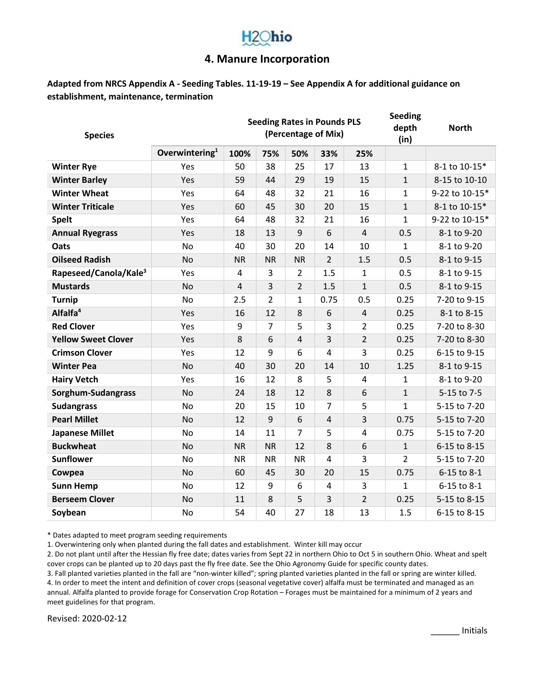## H<sub>2</sub>Ohio

## **4. Manure Incorporation**

**Adapted from NRCS Appendix A - Seeding Tables. 11-19-19 – See Appendix A for additional guidance on establishment, maintenance, termination**

| <b>Species</b>                    |                            | <b>Seeding Rates in Pounds PLS</b> | <b>Seeding</b><br>depth<br>(in) | <b>North</b>   |                |                |                |                |
|-----------------------------------|----------------------------|------------------------------------|---------------------------------|----------------|----------------|----------------|----------------|----------------|
|                                   | Overwintering <sup>1</sup> | 100%                               | 75%                             | 50%            | 33%            | 25%            |                |                |
| <b>Winter Rye</b>                 | Yes                        | 50                                 | 38                              | 25             | 17             | 13             | $\mathbf{1}$   | 8-1 to 10-15*  |
| <b>Winter Barley</b>              | Yes                        | 59                                 | 44                              | 29             | 19             | 15             | $\mathbf{1}$   | 8-15 to 10-10  |
| <b>Winter Wheat</b>               | Yes                        | 64                                 | 48                              | 32             | 21             | 16             | $\mathbf{1}$   | 9-22 to 10-15* |
| <b>Winter Triticale</b>           | Yes                        | 60                                 | 45                              | 30             | 20             | 15             | $\mathbf{1}$   | 8-1 to 10-15*  |
| <b>Spelt</b>                      | Yes                        | 64                                 | 48                              | 32             | 21             | 16             | $\mathbf{1}$   | 9-22 to 10-15* |
| <b>Annual Ryegrass</b>            | Yes                        | 18                                 | 13                              | 9              | 6              | $\overline{4}$ | 0.5            | 8-1 to 9-20    |
| Oats                              | <b>No</b>                  | 40                                 | 30                              | 20             | 14             | 10             | $\mathbf{1}$   | 8-1 to 9-20    |
| <b>Oilseed Radish</b>             | <b>No</b>                  | <b>NR</b>                          | <b>NR</b>                       | <b>NR</b>      | $\overline{2}$ | 1.5            | 0.5            | 8-1 to 9-15    |
| Rapeseed/Canola/Kale <sup>3</sup> | Yes                        | 4                                  | 3                               | $\overline{2}$ | 1.5            | $\mathbf{1}$   | 0.5            | 8-1 to 9-15    |
| <b>Mustards</b>                   | <b>No</b>                  | $\overline{4}$                     | 3                               | $\overline{2}$ | 1.5            | $\mathbf{1}$   | 0.5            | 8-1 to 9-15    |
| <b>Turnip</b>                     | <b>No</b>                  | 2.5                                | $\overline{2}$                  | 1              | 0.75           | 0.5            | 0.25           | 7-20 to 9-15   |
| Alfalfa <sup>4</sup>              | Yes                        | 16                                 | 12                              | 8              | 6              | $\overline{4}$ | 0.25           | 8-1 to 8-15    |
| <b>Red Clover</b>                 | Yes                        | 9                                  | $\overline{7}$                  | 5              | 3              | $\overline{2}$ | 0.25           | 7-20 to 8-30   |
| <b>Yellow Sweet Clover</b>        | Yes                        | 8                                  | 6                               | $\overline{4}$ | 3              | $\overline{2}$ | 0.25           | 7-20 to 8-30   |
| <b>Crimson Clover</b>             | Yes                        | 12                                 | 9                               | 6              | 4              | 3              | 0.25           | 6-15 to 9-15   |
| <b>Winter Pea</b>                 | <b>No</b>                  | 40                                 | 30                              | 20             | 14             | 10             | 1.25           | 8-1 to 9-15    |
| <b>Hairy Vetch</b>                | Yes                        | 16                                 | 12                              | 8              | 5              | $\overline{4}$ | 1              | 8-1 to 9-20    |
| Sorghum-Sudangrass                | <b>No</b>                  | 24                                 | 18                              | 12             | 8              | 6              | $\mathbf{1}$   | 5-15 to 7-5    |
| <b>Sudangrass</b>                 | <b>No</b>                  | 20                                 | 15                              | 10             | 7              | 5              | $\mathbf{1}$   | 5-15 to 7-20   |
| <b>Pearl Millet</b>               | <b>No</b>                  | 12                                 | 9                               | 6              | $\overline{4}$ | 3              | 0.75           | 5-15 to 7-20   |
| <b>Japanese Millet</b>            | No                         | 14                                 | 11                              | $\overline{7}$ | 5              | $\overline{4}$ | 0.75           | 5-15 to 7-20   |
| <b>Buckwheat</b>                  | <b>No</b>                  | <b>NR</b>                          | <b>NR</b>                       | 12             | 8              | 6              | $\mathbf{1}$   | 6-15 to 8-15   |
| <b>Sunflower</b>                  | <b>No</b>                  | <b>NR</b>                          | <b>NR</b>                       | <b>NR</b>      | 4              | 3              | $\overline{2}$ | 5-15 to 7-20   |
| Cowpea                            | <b>No</b>                  | 60                                 | 45                              | 30             | 20             | 15             | 0.75           | 6-15 to 8-1    |
| <b>Sunn Hemp</b>                  | No                         | 12                                 | 9                               | 6              | 4              | 3              | $\mathbf{1}$   | 6-15 to 8-1    |
| <b>Berseem Clover</b>             | No                         | 11                                 | 8                               | 5              | 3              | $\overline{2}$ | 0.25           | 5-15 to 8-15   |
| Soybean                           | No                         | 54                                 | 40                              | 27             | 18             | 13             | 1.5            | 6-15 to 8-15   |

\* Dates adapted to meet program seeding requirements

1. Overwintering only when planted during the fall dates and establishment. Winter kill may occur

2. Do not plant until after the Hessian fly free date; dates varies from Sept 22 in northern Ohio to Oct 5 in southern Ohio. Wheat and spelt cover crops can be planted up to 20 days past the fly free date. See the Ohio Agronomy Guide for specific county dates.

3. Fall planted varieties planted in the fall are "non-winter killed"; spring planted varieties planted in the fall or spring are winter killed. 4. In order to meet the intent and definition of cover crops (seasonal vegetative cover) alfalfa must be terminated and managed as an annual. Alfalfa planted to provide forage for Conservation Crop Rotation – Forages must be maintained for a minimum of 2 years and meet guidelines for that program.

Revised: 2020-02-12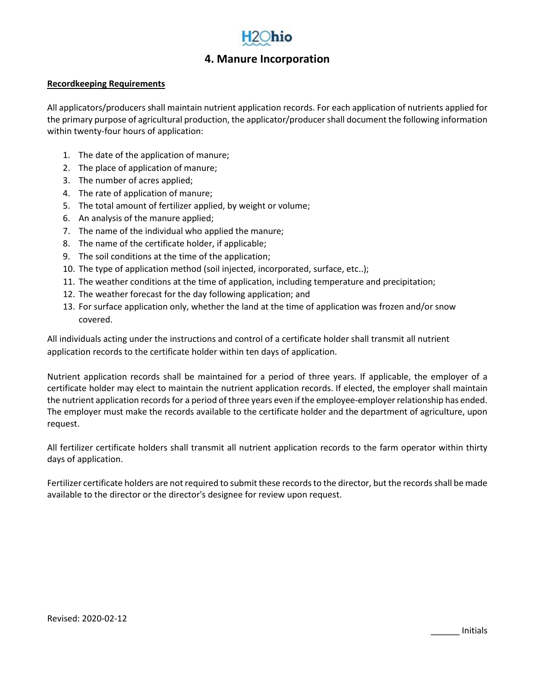

## **4. Manure Incorporation**

## **Recordkeeping Requirements**

All applicators/producers shall maintain nutrient application records. For each application of nutrients applied for the primary purpose of agricultural production, the applicator/producershall document the following information within twenty-four hours of application:

- 1. The date of the application of manure;
- 2. The place of application of manure;
- 3. The number of acres applied;
- 4. The rate of application of manure;
- 5. The total amount of fertilizer applied, by weight or volume;
- 6. An analysis of the manure applied;
- 7. The name of the individual who applied the manure;
- 8. The name of the certificate holder, if applicable;
- 9. The soil conditions at the time of the application;
- 10. The type of application method (soil injected, incorporated, surface, etc..);
- 11. The weather conditions at the time of application, including temperature and precipitation;
- 12. The weather forecast for the day following application; and
- 13. For surface application only, whether the land at the time of application was frozen and/or snow covered.

All individuals acting under the instructions and control of a certificate holder shall transmit all nutrient application records to the certificate holder within ten days of application.

Nutrient application records shall be maintained for a period of three years. If applicable, the employer of a certificate holder may elect to maintain the nutrient application records. If elected, the employer shall maintain the nutrient application records for a period of three years even if the employee-employer relationship has ended. The employer must make the records available to the certificate holder and the department of agriculture, upon request.

All fertilizer certificate holders shall transmit all nutrient application records to the farm operator within thirty days of application.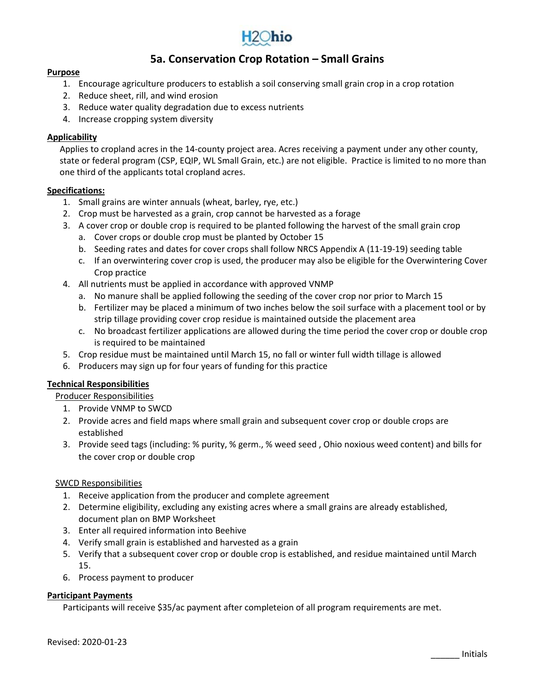

## **5a. Conservation Crop Rotation – Small Grains**

#### **Purpose**

- 1. Encourage agriculture producers to establish a soil conserving small grain crop in a crop rotation
- 2. Reduce sheet, rill, and wind erosion
- 3. Reduce water quality degradation due to excess nutrients
- 4. Increase cropping system diversity

#### **Applicability**

Applies to cropland acres in the 14-county project area. Acres receiving a payment under any other county, state or federal program (CSP, EQIP, WL Small Grain, etc.) are not eligible. Practice is limited to no more than one third of the applicants total cropland acres.

#### **Specifications:**

- 1. Small grains are winter annuals (wheat, barley, rye, etc.)
- 2. Crop must be harvested as a grain, crop cannot be harvested as a forage
- 3. A cover crop or double crop is required to be planted following the harvest of the small grain crop
	- a. Cover crops or double crop must be planted by October 15
	- b. Seeding rates and dates for cover crops shall follow NRCS Appendix A (11-19-19) seeding table
	- c. If an overwintering cover crop is used, the producer may also be eligible for the Overwintering Cover Crop practice
- 4. All nutrients must be applied in accordance with approved VNMP
	- a. No manure shall be applied following the seeding of the cover crop nor prior to March 15
	- b. Fertilizer may be placed a minimum of two inches below the soil surface with a placement tool or by strip tillage providing cover crop residue is maintained outside the placement area
	- c. No broadcast fertilizer applications are allowed during the time period the cover crop or double crop is required to be maintained
- 5. Crop residue must be maintained until March 15, no fall or winter full width tillage is allowed
- 6. Producers may sign up for four years of funding for this practice

#### **Technical Responsibilities**

#### Producer Responsibilities

- 1. Provide VNMP to SWCD
- 2. Provide acres and field maps where small grain and subsequent cover crop or double crops are established
- 3. Provide seed tags (including: % purity, % germ., % weed seed , Ohio noxious weed content) and bills for the cover crop or double crop

#### SWCD Responsibilities

- 1. Receive application from the producer and complete agreement
- 2. Determine eligibility, excluding any existing acres where a small grains are already established, document plan on BMP Worksheet
- 3. Enter all required information into Beehive
- 4. Verify small grain is established and harvested as a grain
- 5. Verify that a subsequent cover crop or double crop is established, and residue maintained until March 15.
- 6. Process payment to producer

#### **Participant Payments**

Participants will receive \$35/ac payment after completeion of all program requirements are met.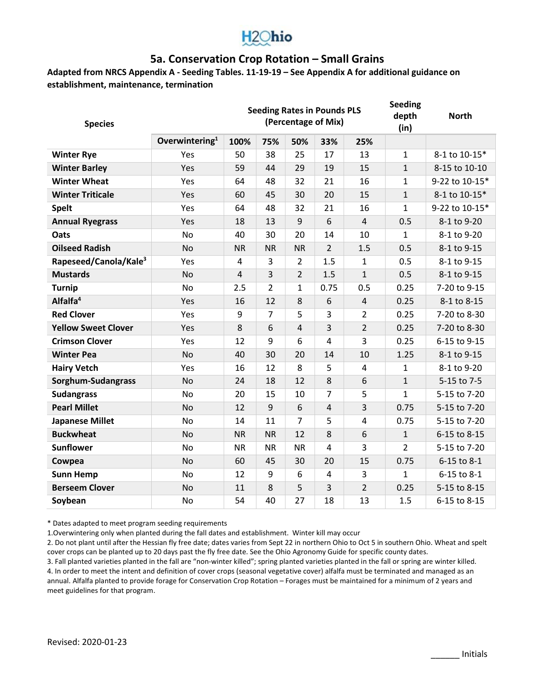## **H2Ohio**

## **5a. Conservation Crop Rotation – Small Grains**

**Adapted from NRCS Appendix A - Seeding Tables. 11-19-19 – See Appendix A for additional guidance on establishment, maintenance, termination**

| <b>Species</b>                    |                            | <b>Seeding Rates in Pounds PLS</b> | Seeding<br>depth<br>(in) | <b>North</b>   |                |                |                |                |
|-----------------------------------|----------------------------|------------------------------------|--------------------------|----------------|----------------|----------------|----------------|----------------|
|                                   | Overwintering <sup>1</sup> | 100%                               | 75%                      | 50%            | 33%            | 25%            |                |                |
| <b>Winter Rye</b>                 | Yes                        | 50                                 | 38                       | 25             | 17             | 13             | $\mathbf{1}$   | 8-1 to 10-15*  |
| <b>Winter Barley</b>              | Yes                        | 59                                 | 44                       | 29             | 19             | 15             | $\mathbf{1}$   | 8-15 to 10-10  |
| <b>Winter Wheat</b>               | Yes                        | 64                                 | 48                       | 32             | 21             | 16             | $\mathbf{1}$   | 9-22 to 10-15* |
| <b>Winter Triticale</b>           | Yes                        | 60                                 | 45                       | 30             | 20             | 15             | $\mathbf{1}$   | 8-1 to 10-15*  |
| <b>Spelt</b>                      | Yes                        | 64                                 | 48                       | 32             | 21             | 16             | $\mathbf{1}$   | 9-22 to 10-15* |
| <b>Annual Ryegrass</b>            | Yes                        | 18                                 | 13                       | 9              | 6              | $\overline{4}$ | 0.5            | 8-1 to 9-20    |
| Oats                              | <b>No</b>                  | 40                                 | 30                       | 20             | 14             | 10             | $\mathbf{1}$   | 8-1 to 9-20    |
| <b>Oilseed Radish</b>             | <b>No</b>                  | <b>NR</b>                          | <b>NR</b>                | <b>NR</b>      | $\overline{2}$ | 1.5            | 0.5            | 8-1 to 9-15    |
| Rapeseed/Canola/Kale <sup>3</sup> | Yes                        | 4                                  | 3                        | $\overline{2}$ | 1.5            | $\mathbf{1}$   | 0.5            | 8-1 to 9-15    |
| <b>Mustards</b>                   | <b>No</b>                  | 4                                  | 3                        | $\overline{2}$ | 1.5            | $\mathbf{1}$   | 0.5            | 8-1 to 9-15    |
| <b>Turnip</b>                     | <b>No</b>                  | 2.5                                | $\overline{2}$           | $\mathbf 1$    | 0.75           | 0.5            | 0.25           | 7-20 to 9-15   |
| Alfalfa <sup>4</sup>              | Yes                        | 16                                 | 12                       | 8              | 6              | $\overline{4}$ | 0.25           | 8-1 to 8-15    |
| <b>Red Clover</b>                 | Yes                        | 9                                  | $\overline{7}$           | 5              | 3              | $\overline{2}$ | 0.25           | 7-20 to 8-30   |
| <b>Yellow Sweet Clover</b>        | Yes                        | 8                                  | 6                        | $\overline{4}$ | 3              | $\overline{2}$ | 0.25           | 7-20 to 8-30   |
| <b>Crimson Clover</b>             | Yes                        | 12                                 | 9                        | 6              | 4              | 3              | 0.25           | 6-15 to 9-15   |
| <b>Winter Pea</b>                 | <b>No</b>                  | 40                                 | 30                       | 20             | 14             | 10             | 1.25           | 8-1 to 9-15    |
| <b>Hairy Vetch</b>                | Yes                        | 16                                 | 12                       | 8              | 5              | $\overline{4}$ | 1              | 8-1 to 9-20    |
| Sorghum-Sudangrass                | <b>No</b>                  | 24                                 | 18                       | 12             | 8              | 6              | $\mathbf{1}$   | 5-15 to 7-5    |
| <b>Sudangrass</b>                 | No                         | 20                                 | 15                       | 10             | $\overline{7}$ | 5              | $\mathbf{1}$   | 5-15 to 7-20   |
| <b>Pearl Millet</b>               | <b>No</b>                  | 12                                 | 9                        | 6              | $\overline{4}$ | $\overline{3}$ | 0.75           | 5-15 to 7-20   |
| <b>Japanese Millet</b>            | No                         | 14                                 | 11                       | $\overline{7}$ | 5              | $\overline{4}$ | 0.75           | 5-15 to 7-20   |
| <b>Buckwheat</b>                  | <b>No</b>                  | <b>NR</b>                          | <b>NR</b>                | 12             | 8              | 6              | $\mathbf{1}$   | 6-15 to 8-15   |
| Sunflower                         | <b>No</b>                  | <b>NR</b>                          | <b>NR</b>                | <b>NR</b>      | $\overline{4}$ | 3              | $\overline{2}$ | 5-15 to 7-20   |
| Cowpea                            | <b>No</b>                  | 60                                 | 45                       | 30             | 20             | 15             | 0.75           | 6-15 to 8-1    |
| <b>Sunn Hemp</b>                  | <b>No</b>                  | 12                                 | 9                        | 6              | $\overline{4}$ | 3              | $\mathbf{1}$   | 6-15 to 8-1    |
| <b>Berseem Clover</b>             | No                         | 11                                 | 8                        | 5              | 3              | $\overline{2}$ | 0.25           | 5-15 to 8-15   |
| Soybean                           | No                         | 54                                 | 40                       | 27             | 18             | 13             | 1.5            | 6-15 to 8-15   |

\* Dates adapted to meet program seeding requirements

1.Overwintering only when planted during the fall dates and establishment. Winter kill may occur

2. Do not plant until after the Hessian fly free date; dates varies from Sept 22 in northern Ohio to Oct 5 in southern Ohio. Wheat and spelt cover crops can be planted up to 20 days past the fly free date. See the Ohio Agronomy Guide for specific county dates.

3. Fall planted varieties planted in the fall are "non-winter killed"; spring planted varieties planted in the fall or spring are winter killed. 4. In order to meet the intent and definition of cover crops (seasonal vegetative cover) alfalfa must be terminated and managed as an annual. Alfalfa planted to provide forage for Conservation Crop Rotation – Forages must be maintained for a minimum of 2 years and meet guidelines for that program.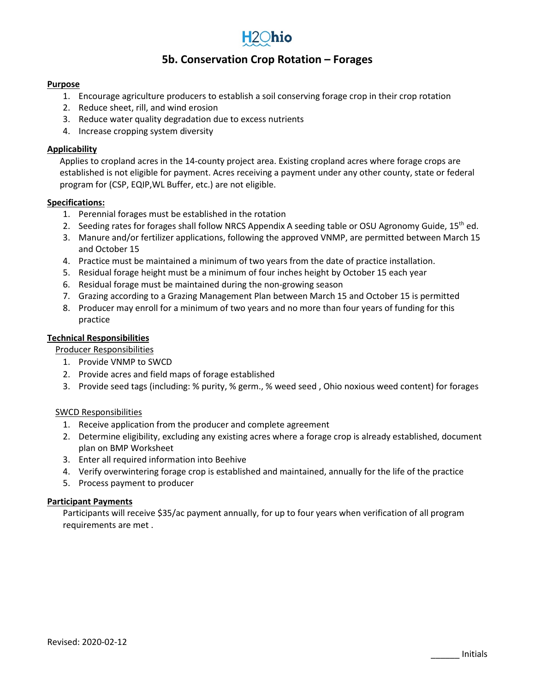

## **5b. Conservation Crop Rotation – Forages**

### **Purpose**

- 1. Encourage agriculture producers to establish a soil conserving forage crop in their crop rotation
- 2. Reduce sheet, rill, and wind erosion
- 3. Reduce water quality degradation due to excess nutrients
- 4. Increase cropping system diversity

## **Applicability**

Applies to cropland acres in the 14-county project area. Existing cropland acres where forage crops are established is not eligible for payment. Acres receiving a payment under any other county, state or federal program for (CSP, EQIP,WL Buffer, etc.) are not eligible.

## **Specifications:**

- 1. Perennial forages must be established in the rotation
- 2. Seeding rates for forages shall follow NRCS Appendix A seeding table or OSU Agronomy Guide, 15<sup>th</sup> ed.
- 3. Manure and/or fertilizer applications, following the approved VNMP, are permitted between March 15 and October 15
- 4. Practice must be maintained a minimum of two years from the date of practice installation.
- 5. Residual forage height must be a minimum of four inches height by October 15 each year
- 6. Residual forage must be maintained during the non-growing season
- 7. Grazing according to a Grazing Management Plan between March 15 and October 15 is permitted
- 8. Producer may enroll for a minimum of two years and no more than four years of funding for this practice

## **Technical Responsibilities**

## Producer Responsibilities

- 1. Provide VNMP to SWCD
- 2. Provide acres and field maps of forage established
- 3. Provide seed tags (including: % purity, % germ., % weed seed , Ohio noxious weed content) for forages

## SWCD Responsibilities

- 1. Receive application from the producer and complete agreement
- 2. Determine eligibility, excluding any existing acres where a forage crop is already established, document plan on BMP Worksheet
- 3. Enter all required information into Beehive
- 4. Verify overwintering forage crop is established and maintained, annually for the life of the practice
- 5. Process payment to producer

## **Participant Payments**

Participants will receive \$35/ac payment annually, for up to four years when verification of all program requirements are met .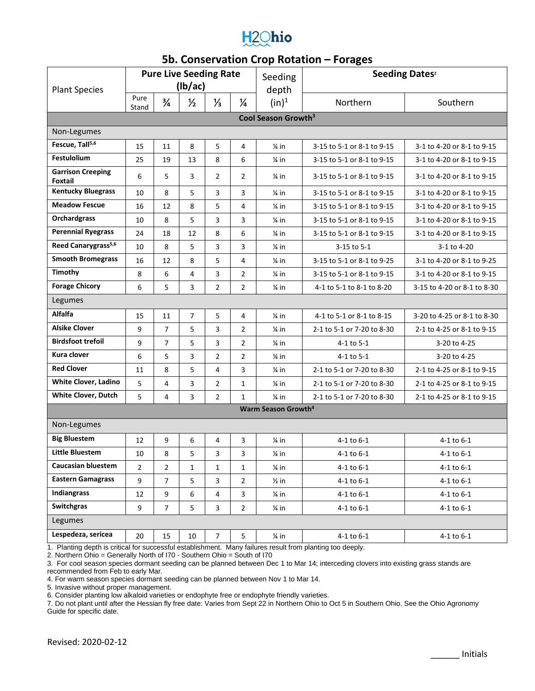

## **5b. Conservation Crop Rotation – Forages**

|                                            |                |                | <b>Pure Live Seeding Rate</b> |                |                | Seeding          | Seeding Dates <sup>2</sup> |                             |  |  |  |
|--------------------------------------------|----------------|----------------|-------------------------------|----------------|----------------|------------------|----------------------------|-----------------------------|--|--|--|
| <b>Plant Species</b>                       | (lb/ac)        |                |                               |                |                | depth            |                            |                             |  |  |  |
|                                            | Pure<br>Stand  | $\frac{3}{4}$  | $\frac{1}{2}$                 | $\frac{1}{3}$  | $\frac{1}{4}$  | $(in)^1$         | Northern                   | Southern                    |  |  |  |
| Cool Season Growth <sup>3</sup>            |                |                |                               |                |                |                  |                            |                             |  |  |  |
| Non-Legumes                                |                |                |                               |                |                |                  |                            |                             |  |  |  |
| Fescue, Tall <sup>5,6</sup>                | 15             | 11             | 8                             | 5              | 4              | $\frac{1}{4}$ in | 3-15 to 5-1 or 8-1 to 9-15 | 3-1 to 4-20 or 8-1 to 9-15  |  |  |  |
| <b>Festulolium</b>                         | 25             | 19             | 13                            | 8              | 6              | $\frac{1}{4}$ in | 3-15 to 5-1 or 8-1 to 9-15 | 3-1 to 4-20 or 8-1 to 9-15  |  |  |  |
| <b>Garrison Creeping</b><br><b>Foxtail</b> | 6              | 5              | 3                             | $\overline{2}$ | $\overline{2}$ | $\frac{1}{4}$ in | 3-15 to 5-1 or 8-1 to 9-15 | 3-1 to 4-20 or 8-1 to 9-15  |  |  |  |
| <b>Kentucky Bluegrass</b>                  | 10             | 8              | 5                             | 3              | 3              | $\frac{1}{4}$ in | 3-15 to 5-1 or 8-1 to 9-15 | 3-1 to 4-20 or 8-1 to 9-15  |  |  |  |
| <b>Meadow Fescue</b>                       | 16             | 12             | 8                             | 5              | 4              | $\frac{1}{4}$ in | 3-15 to 5-1 or 8-1 to 9-15 | 3-1 to 4-20 or 8-1 to 9-15  |  |  |  |
| Orchardgrass                               | 10             | 8              | 5                             | 3              | 3              | $\frac{1}{4}$ in | 3-15 to 5-1 or 8-1 to 9-15 | 3-1 to 4-20 or 8-1 to 9-15  |  |  |  |
| <b>Perennial Ryegrass</b>                  | 24             | 18             | 12                            | 8              | 6              | $\frac{1}{4}$ in | 3-15 to 5-1 or 8-1 to 9-15 | 3-1 to 4-20 or 8-1 to 9-15  |  |  |  |
| Reed Canarygrass <sup>5,6</sup>            | 10             | 8              | 5                             | 3              | 3              | $\frac{1}{4}$ in | 3-15 to 5-1                | 3-1 to 4-20                 |  |  |  |
| <b>Smooth Bromegrass</b>                   | 16             | 12             | 8                             | 5              | 4              | $\frac{1}{4}$ in | 3-15 to 5-1 or 8-1 to 9-25 | 3-1 to 4-20 or 8-1 to 9-25  |  |  |  |
| Timothy                                    | 8              | 6              | 4                             | 3              | $\overline{2}$ | $\frac{1}{4}$ in | 3-15 to 5-1 or 8-1 to 9-15 | 3-1 to 4-20 or 8-1 to 9-15  |  |  |  |
| <b>Forage Chicory</b>                      | 6              | 5              | 3                             | 2              | $\overline{2}$ | $\frac{1}{4}$ in | 4-1 to 5-1 to 8-1 to 8-20  | 3-15 to 4-20 or 8-1 to 8-30 |  |  |  |
| Legumes                                    |                |                |                               |                |                |                  |                            |                             |  |  |  |
| Alfalfa                                    | 15             | 11             | 7                             | 5              | 4              | $\frac{1}{4}$ in | 4-1 to 5-1 or 8-1 to 8-15  | 3-20 to 4-25 or 8-1 to 8-30 |  |  |  |
| <b>Alsike Clover</b>                       | 9              | $\overline{7}$ | 5                             | 3              | $\overline{2}$ | $\frac{1}{4}$ in | 2-1 to 5-1 or 7-20 to 8-30 | 2-1 to 4-25 or 8-1 to 9-15  |  |  |  |
| <b>Birdsfoot trefoil</b>                   | 9              | $\overline{7}$ | 5                             | 3              | $\overline{2}$ | $\frac{1}{4}$ in | 4-1 to 5-1                 | 3-20 to 4-25                |  |  |  |
| Kura clover                                | 6              | 5              | 3                             | 2              | $\overline{2}$ | $\frac{1}{4}$ in | 4-1 to 5-1                 | 3-20 to 4-25                |  |  |  |
| <b>Red Clover</b>                          | 11             | 8              | 5                             | 4              | 3              | $\frac{1}{4}$ in | 2-1 to 5-1 or 7-20 to 8-30 | 2-1 to 4-25 or 8-1 to 9-15  |  |  |  |
| <b>White Clover, Ladino</b>                | 5              | 4              | 3                             | $\overline{2}$ | 1              | $\frac{1}{4}$ in | 2-1 to 5-1 or 7-20 to 8-30 | 2-1 to 4-25 or 8-1 to 9-15  |  |  |  |
| White Clover, Dutch                        | 5              | 4              | 3                             | 2              | $\mathbf{1}$   | $\frac{1}{4}$ in | 2-1 to 5-1 or 7-20 to 8-30 | 2-1 to 4-25 or 8-1 to 9-15  |  |  |  |
| Warm Season Growth <sup>4</sup>            |                |                |                               |                |                |                  |                            |                             |  |  |  |
| Non-Legumes                                |                |                |                               |                |                |                  |                            |                             |  |  |  |
| <b>Big Bluestem</b>                        | 12             | 9              | 6                             | 4              | 3              | $\frac{1}{4}$ in | 4-1 to 6-1                 | 4-1 to 6-1                  |  |  |  |
| Little Bluestem                            | 10             | 8              | 5                             | 3              | 3              | $\frac{1}{4}$ in | $4-1$ to $6-1$             | 4-1 to 6-1                  |  |  |  |
| <b>Caucasian bluestem</b>                  | $\overline{2}$ | $\overline{2}$ | $\mathbf{1}$                  | $\mathbf{1}$   | $\mathbf{1}$   | $\frac{1}{4}$ in | $4-1$ to $6-1$             | 4-1 to 6-1                  |  |  |  |
| <b>Eastern Gamagrass</b>                   | 9              | $\overline{7}$ | 5                             | 3              | $\overline{2}$ | $\frac{1}{2}$ in | 4-1 to 6-1                 | 4-1 to 6-1                  |  |  |  |
| Indiangrass                                | 12             | 9              | 6                             | 4              | $\mathbf{3}$   | $\frac{1}{4}$ in | 4-1 to 6-1                 | 4-1 to 6-1                  |  |  |  |
| Switchgras                                 | 9              | 7              | 5                             | 3              | $\overline{2}$ | $\frac{1}{4}$ in | 4-1 to 6-1                 | 4-1 to 6-1                  |  |  |  |
| Legumes                                    |                |                |                               |                |                |                  |                            |                             |  |  |  |
| Lespedeza, sericea                         | 20             | 15             | 10                            | $\overline{7}$ | 5              | $\frac{1}{4}$ in | 4-1 to 6-1                 | 4-1 to 6-1                  |  |  |  |

1. Planting depth is critical for successful establishment. Many failures result from planting too deeply.

2. Northern Ohio = Generally North of I70 - Southern Ohio = South of I70

3. For cool season species dormant seeding can be planned between Dec 1 to Mar 14; interceding clovers into existing grass stands are recommended from Feb to early Mar.

4. For warm season species dormant seeding can be planned between Nov 1 to Mar 14.

5. Invasive without proper management.

6. Consider planting low alkaloid varieties or endophyte free or endophyte friendly varieties.

7. Do not plant until after the Hessian fly free date: Varies from Sept 22 in Northern Ohio to Oct 5 in Southern Ohio. See the Ohio Agronomy Guide for specific date.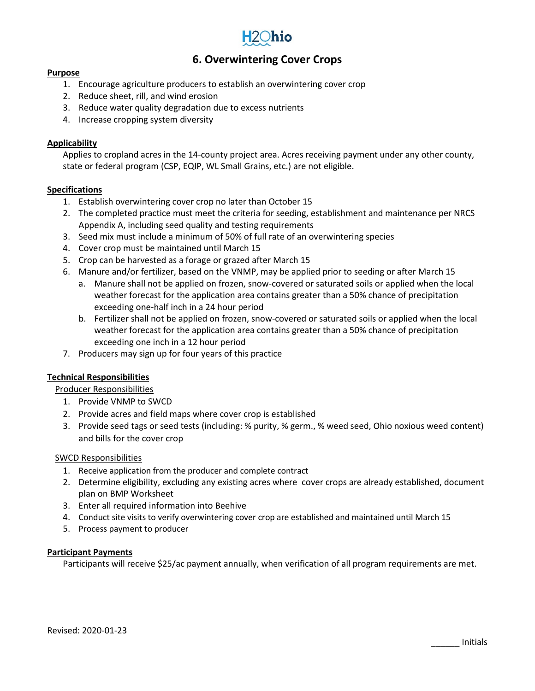

## **6. Overwintering Cover Crops**

#### **Purpose**

- 1. Encourage agriculture producers to establish an overwintering cover crop
- 2. Reduce sheet, rill, and wind erosion
- 3. Reduce water quality degradation due to excess nutrients
- 4. Increase cropping system diversity

### **Applicability**

Applies to cropland acres in the 14-county project area. Acres receiving payment under any other county, state or federal program (CSP, EQIP, WL Small Grains, etc.) are not eligible.

### **Specifications**

- 1. Establish overwintering cover crop no later than October 15
- 2. The completed practice must meet the criteria for seeding, establishment and maintenance per NRCS Appendix A, including seed quality and testing requirements
- 3. Seed mix must include a minimum of 50% of full rate of an overwintering species
- 4. Cover crop must be maintained until March 15
- 5. Crop can be harvested as a forage or grazed after March 15
- 6. Manure and/or fertilizer, based on the VNMP, may be applied prior to seeding or after March 15
	- a. Manure shall not be applied on frozen, snow-covered or saturated soils or applied when the local weather forecast for the application area contains greater than a 50% chance of precipitation exceeding one-half inch in a 24 hour period
	- b. Fertilizer shall not be applied on frozen, snow-covered or saturated soils or applied when the local weather forecast for the application area contains greater than a 50% chance of precipitation exceeding one inch in a 12 hour period
- 7. Producers may sign up for four years of this practice

## **Technical Responsibilities**

## Producer Responsibilities

- 1. Provide VNMP to SWCD
- 2. Provide acres and field maps where cover crop is established
- 3. Provide seed tags or seed tests (including: % purity, % germ., % weed seed, Ohio noxious weed content) and bills for the cover crop

#### SWCD Responsibilities

- 1. Receive application from the producer and complete contract
- 2. Determine eligibility, excluding any existing acres where cover crops are already established, document plan on BMP Worksheet
- 3. Enter all required information into Beehive
- 4. Conduct site visits to verify overwintering cover crop are established and maintained until March 15
- 5. Process payment to producer

#### **Participant Payments**

Participants will receive \$25/ac payment annually, when verification of all program requirements are met.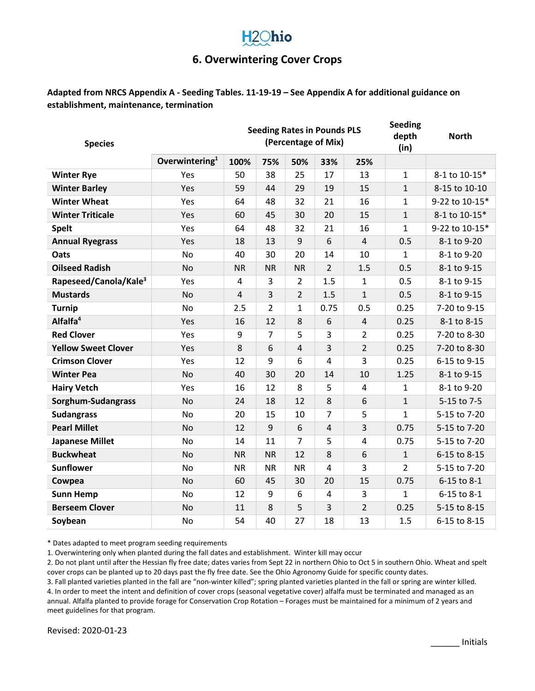## **H2Ohio**

## **6. Overwintering Cover Crops**

**Adapted from NRCS Appendix A - Seeding Tables. 11-19-19 – See Appendix A for additional guidance on establishment, maintenance, termination**

| <b>Species</b>                    |                   | <b>Seeding Rates in Pounds PLS</b> | <b>Seeding</b><br>depth<br>(in) | <b>North</b>   |                |                |                |                |
|-----------------------------------|-------------------|------------------------------------|---------------------------------|----------------|----------------|----------------|----------------|----------------|
|                                   | Overwintering $1$ | 100%                               | 75%                             | 50%            | 33%            | 25%            |                |                |
| <b>Winter Rye</b>                 | Yes               | 50                                 | 38                              | 25             | 17             | 13             | $\mathbf{1}$   | 8-1 to 10-15*  |
| <b>Winter Barley</b>              | Yes               | 59                                 | 44                              | 29             | 19             | 15             | $\mathbf{1}$   | 8-15 to 10-10  |
| <b>Winter Wheat</b>               | Yes               | 64                                 | 48                              | 32             | 21             | 16             | $\mathbf{1}$   | 9-22 to 10-15* |
| <b>Winter Triticale</b>           | Yes               | 60                                 | 45                              | 30             | 20             | 15             | $\mathbf{1}$   | 8-1 to 10-15*  |
| <b>Spelt</b>                      | Yes               | 64                                 | 48                              | 32             | 21             | 16             | $\mathbf{1}$   | 9-22 to 10-15* |
| <b>Annual Ryegrass</b>            | Yes               | 18                                 | 13                              | 9              | 6              | $\overline{4}$ | 0.5            | 8-1 to 9-20    |
| Oats                              | <b>No</b>         | 40                                 | 30                              | 20             | 14             | 10             | $\mathbf{1}$   | 8-1 to 9-20    |
| <b>Oilseed Radish</b>             | <b>No</b>         | <b>NR</b>                          | <b>NR</b>                       | <b>NR</b>      | $\overline{2}$ | 1.5            | 0.5            | 8-1 to 9-15    |
| Rapeseed/Canola/Kale <sup>3</sup> | Yes               | 4                                  | 3                               | $\overline{2}$ | 1.5            | $\mathbf{1}$   | 0.5            | 8-1 to 9-15    |
| <b>Mustards</b>                   | <b>No</b>         | $\overline{4}$                     | 3                               | $\overline{2}$ | 1.5            | $\mathbf{1}$   | 0.5            | 8-1 to 9-15    |
| <b>Turnip</b>                     | <b>No</b>         | 2.5                                | $\overline{2}$                  | $\mathbf{1}$   | 0.75           | 0.5            | 0.25           | 7-20 to 9-15   |
| Alfalfa <sup>4</sup>              | Yes               | 16                                 | 12                              | 8              | 6              | $\sqrt{4}$     | 0.25           | 8-1 to 8-15    |
| <b>Red Clover</b>                 | Yes               | 9                                  | $\overline{7}$                  | 5              | 3              | $\overline{2}$ | 0.25           | 7-20 to 8-30   |
| <b>Yellow Sweet Clover</b>        | Yes               | 8                                  | 6                               | 4              | 3              | $\overline{2}$ | 0.25           | 7-20 to 8-30   |
| <b>Crimson Clover</b>             | Yes               | 12                                 | 9                               | 6              | $\overline{4}$ | 3              | 0.25           | 6-15 to 9-15   |
| <b>Winter Pea</b>                 | <b>No</b>         | 40                                 | 30                              | 20             | 14             | 10             | 1.25           | 8-1 to 9-15    |
| <b>Hairy Vetch</b>                | Yes               | 16                                 | 12                              | 8              | 5              | 4              | $\mathbf{1}$   | 8-1 to 9-20    |
| Sorghum-Sudangrass                | <b>No</b>         | 24                                 | 18                              | 12             | 8              | 6              | $\mathbf{1}$   | 5-15 to 7-5    |
| <b>Sudangrass</b>                 | <b>No</b>         | 20                                 | 15                              | 10             | 7              | 5              | $\mathbf{1}$   | 5-15 to 7-20   |
| <b>Pearl Millet</b>               | <b>No</b>         | 12                                 | 9                               | 6              | $\overline{4}$ | 3              | 0.75           | 5-15 to 7-20   |
| <b>Japanese Millet</b>            | <b>No</b>         | 14                                 | 11                              | $\overline{7}$ | 5              | 4              | 0.75           | 5-15 to 7-20   |
| <b>Buckwheat</b>                  | <b>No</b>         | <b>NR</b>                          | <b>NR</b>                       | 12             | 8              | 6              | $\mathbf{1}$   | 6-15 to 8-15   |
| <b>Sunflower</b>                  | <b>No</b>         | <b>NR</b>                          | <b>NR</b>                       | <b>NR</b>      | $\overline{4}$ | 3              | $\overline{2}$ | 5-15 to 7-20   |
| Cowpea                            | <b>No</b>         | 60                                 | 45                              | 30             | 20             | 15             | 0.75           | 6-15 to 8-1    |
| <b>Sunn Hemp</b>                  | No                | 12                                 | 9                               | 6              | $\overline{4}$ | 3              | $\mathbf{1}$   | 6-15 to 8-1    |
| <b>Berseem Clover</b>             | <b>No</b>         | 11                                 | 8                               | 5              | 3              | $\overline{2}$ | 0.25           | 5-15 to 8-15   |
| Soybean                           | No                | 54                                 | 40                              | 27             | 18             | 13             | 1.5            | 6-15 to 8-15   |

\* Dates adapted to meet program seeding requirements

1. Overwintering only when planted during the fall dates and establishment. Winter kill may occur

2. Do not plant until after the Hessian fly free date; dates varies from Sept 22 in northern Ohio to Oct 5 in southern Ohio. Wheat and spelt cover crops can be planted up to 20 days past the fly free date. See the Ohio Agronomy Guide for specific county dates.

3. Fall planted varieties planted in the fall are "non-winter killed"; spring planted varieties planted in the fall or spring are winter killed.

4. In order to meet the intent and definition of cover crops (seasonal vegetative cover) alfalfa must be terminated and managed as an annual. Alfalfa planted to provide forage for Conservation Crop Rotation – Forages must be maintained for a minimum of 2 years and meet guidelines for that program.